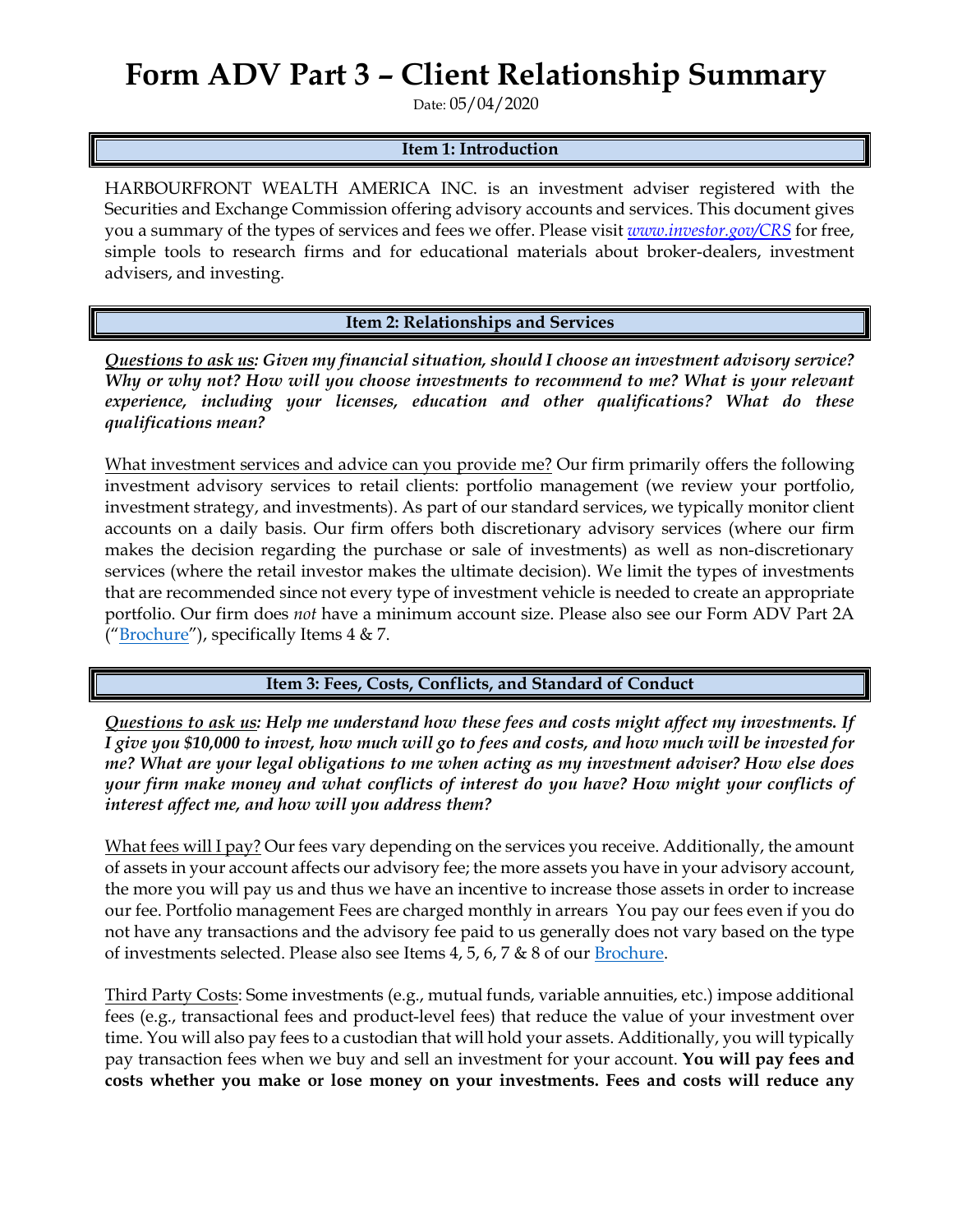## **Form ADV Part 3 – Client Relationship Summary**

Date: 05/04/2020

## **Item 1: Introduction**

HARBOURFRONT WEALTH AMERICA INC. is an investment adviser registered with the Securities and Exchange Commission offering advisory accounts and services. This document gives you a summary of the types of services and fees we offer. Please visit *[www.investor.gov/CRS](http://www.investor.gov/CRS)* for free, simple tools to research firms and for educational materials about broker-dealers, investment advisers, and investing.

**Item 2: Relationships and Services**

*Questions to ask us: Given my financial situation, should I choose an investment advisory service? Why or why not? How will you choose investments to recommend to me? What is your relevant experience, including your licenses, education and other qualifications? What do these qualifications mean?*

What investment services and advice can you provide me? Our firm primarily offers the following investment advisory services to retail clients: portfolio management (we review your portfolio, investment strategy, and investments). As part of our standard services, we typically monitor client accounts on a daily basis. Our firm offers both discretionary advisory services (where our firm makes the decision regarding the purchase or sale of investments) as well as non-discretionary services (where the retail investor makes the ultimate decision). We limit the types of investments that are recommended since not every type of investment vehicle is needed to create an appropriate portfolio. Our firm does *not* have a minimum account size. Please also see our Form ADV Part 2A (["Brochure"](https://adviserinfo.sec.gov/firm/summary/306941)), specifically Items  $4 & 7$ .

**Item 3: Fees, Costs, Conflicts, and Standard of Conduct** 

*Questions to ask us: Help me understand how these fees and costs might affect my investments. If I give you \$10,000 to invest, how much will go to fees and costs, and how much will be invested for me? What are your legal obligations to me when acting as my investment adviser? How else does your firm make money and what conflicts of interest do you have? How might your conflicts of interest affect me, and how will you address them?* 

What fees will I pay? Our fees vary depending on the services you receive. Additionally, the amount of assets in your account affects our advisory fee; the more assets you have in your advisory account, the more you will pay us and thus we have an incentive to increase those assets in order to increase our fee. Portfolio management Fees are charged monthly in arrears You pay our fees even if you do not have any transactions and the advisory fee paid to us generally does not vary based on the type of investments selected. Please also see Items  $4, 5, 6, 7$  &  $8$  of our **Brochure**.

Third Party Costs: Some investments (e.g., mutual funds, variable annuities, etc.) impose additional fees (e.g., transactional fees and product-level fees) that reduce the value of your investment over time. You will also pay fees to a custodian that will hold your assets. Additionally, you will typically pay transaction fees when we buy and sell an investment for your account. **You will pay fees and costs whether you make or lose money on your investments. Fees and costs will reduce any**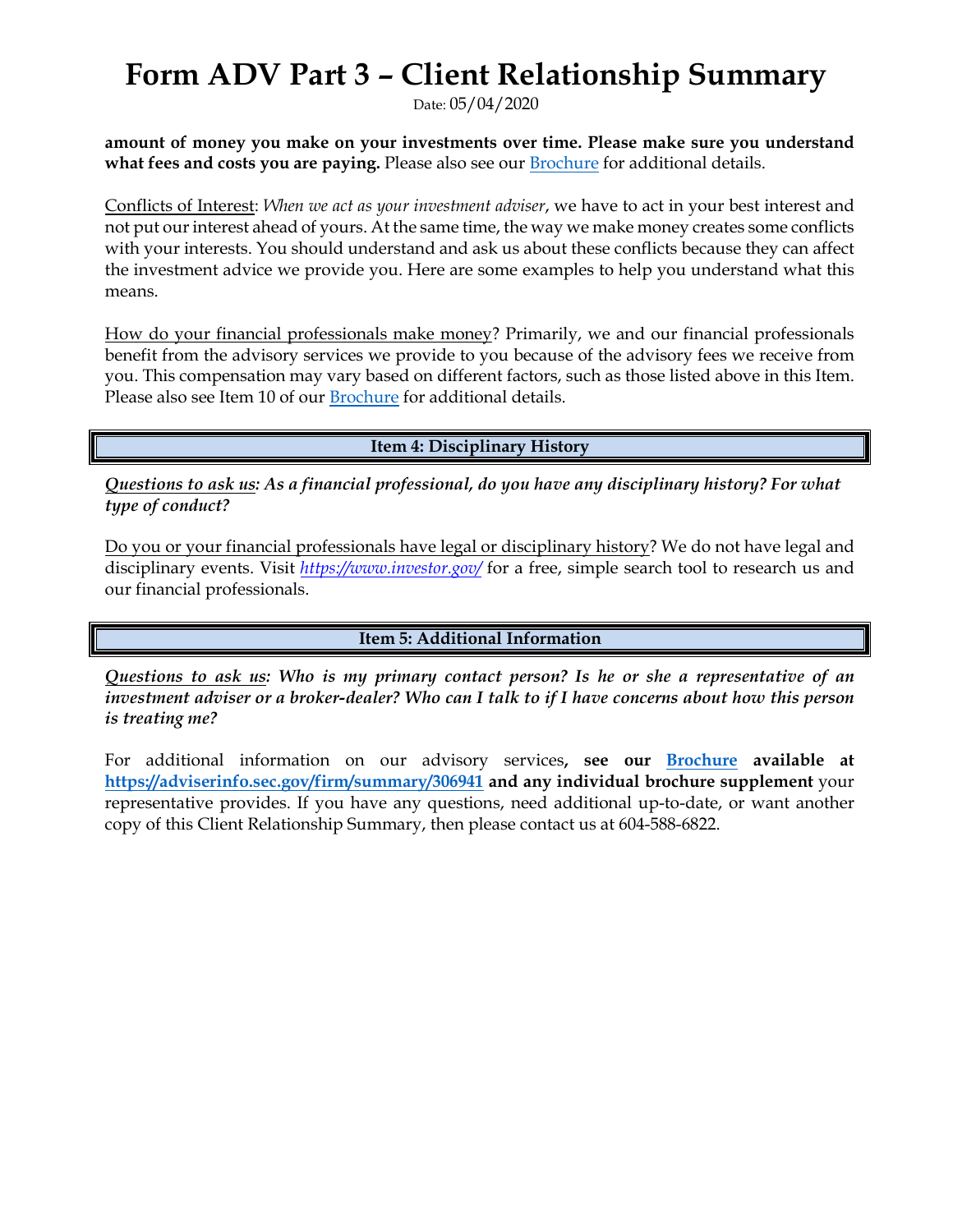## **Form ADV Part 3 – Client Relationship Summary**

Date: 05/04/2020

**amount of money you make on your investments over time. Please make sure you understand what fees and costs you are paying.** Please also see our [Brochure](https://adviserinfo.sec.gov/firm/summary/306941) for additional details.

Conflicts of Interest: *When we act as your investment adviser*, we have to act in your best interest and not put our interest ahead of yours. At the same time, the way we make money creates some conflicts with your interests. You should understand and ask us about these conflicts because they can affect the investment advice we provide you. Here are some examples to help you understand what this means.

How do your financial professionals make money? Primarily, we and our financial professionals benefit from the advisory services we provide to you because of the advisory fees we receive from you. This compensation may vary based on different factors, such as those listed above in this Item. Please also see Item 10 of our [Brochure](https://adviserinfo.sec.gov/firm/summary/306941) for additional details.

**Item 4: Disciplinary History**

*Questions to ask us: As a financial professional, do you have any disciplinary history? For what type of conduct?*

Do you or your financial professionals have legal or disciplinary history? We do not have legal and disciplinary events. Visit *<https://www.investor.gov/>* for a free, simple search tool to research us and our financial professionals.

**Item 5: Additional Information**

*Questions to ask us: Who is my primary contact person? Is he or she a representative of an investment adviser or a broker-dealer? Who can I talk to if I have concerns about how this person is treating me?*

For additional information on our advisory services**, see our [Brochure](https://adviserinfo.sec.gov/firm/summary/306941) available at <https://adviserinfo.sec.gov/firm/summary/306941> and any individual brochure supplement** your representative provides. If you have any questions, need additional up-to-date, or want another copy of this Client Relationship Summary, then please contact us at 604-588-6822.